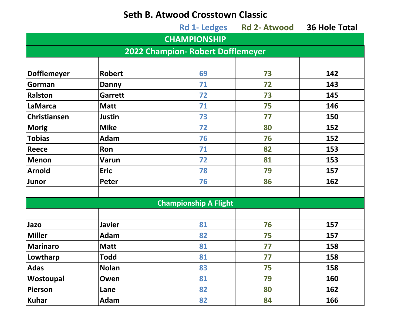## **Seth B. Atwood Crosstown Classic**

|                                   |                |                              | Rd 1- Ledges Rd 2- Atwood 36 Hole Total |     |  |  |  |
|-----------------------------------|----------------|------------------------------|-----------------------------------------|-----|--|--|--|
|                                   |                | <b>CHAMPIONSHIP</b>          |                                         |     |  |  |  |
| 2022 Champion- Robert Dofflemeyer |                |                              |                                         |     |  |  |  |
|                                   |                |                              |                                         |     |  |  |  |
| <b>Dofflemeyer</b>                | <b>Robert</b>  | 69                           | 73                                      | 142 |  |  |  |
| Gorman                            | <b>Danny</b>   | 71                           | 72                                      | 143 |  |  |  |
| <b>Ralston</b>                    | <b>Garrett</b> | 72                           | 73                                      | 145 |  |  |  |
| LaMarca                           | <b>Matt</b>    | 71                           | 75                                      | 146 |  |  |  |
| <b>Christiansen</b>               | <b>Justin</b>  | 73                           | 77                                      | 150 |  |  |  |
| Morig                             | <b>Mike</b>    | 72                           | 80                                      | 152 |  |  |  |
| <b>Tobias</b>                     | Adam           | 76                           | 76                                      | 152 |  |  |  |
| <b>Reece</b>                      | Ron            | 71                           | 82                                      | 153 |  |  |  |
| Menon                             | <b>Varun</b>   | 72                           | 81                                      | 153 |  |  |  |
| Arnold                            | <b>Eric</b>    | 78                           | 79                                      | 157 |  |  |  |
| Junor                             | Peter          | 76                           | 86                                      | 162 |  |  |  |
|                                   |                |                              |                                         |     |  |  |  |
|                                   |                | <b>Championship A Flight</b> |                                         |     |  |  |  |
|                                   |                |                              |                                         |     |  |  |  |
| Jazo                              | <b>Javier</b>  | 81                           | 76                                      | 157 |  |  |  |
| <b>Miller</b>                     | Adam           | 82                           | 75                                      | 157 |  |  |  |
| Marinaro                          | <b>Matt</b>    | 81                           | 77                                      | 158 |  |  |  |
| Lowtharp                          | <b>Todd</b>    | 81                           | 77                                      | 158 |  |  |  |
| <b>Adas</b>                       | <b>Nolan</b>   | 83                           | 75                                      | 158 |  |  |  |
| Wostoupal                         | Owen           | 81                           | 79                                      | 160 |  |  |  |
| Pierson                           | Lane           | 82                           | 80                                      | 162 |  |  |  |
| <b>Kuhar</b>                      | <b>Adam</b>    | 82                           | 84                                      | 166 |  |  |  |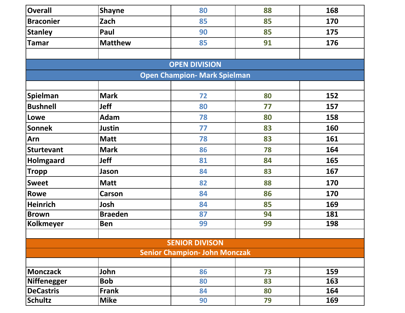| <b>Overall</b>                       | <b>Shayne</b>  | 80 | 88 | 168 |  |  |  |  |  |
|--------------------------------------|----------------|----|----|-----|--|--|--|--|--|
| <b>Braconier</b>                     | Zach           | 85 | 85 | 170 |  |  |  |  |  |
| <b>Stanley</b>                       | Paul           | 90 | 85 | 175 |  |  |  |  |  |
| <b>Tamar</b>                         | <b>Matthew</b> | 85 | 91 | 176 |  |  |  |  |  |
|                                      |                |    |    |     |  |  |  |  |  |
| <b>OPEN DIVISION</b>                 |                |    |    |     |  |  |  |  |  |
| <b>Open Champion- Mark Spielman</b>  |                |    |    |     |  |  |  |  |  |
|                                      |                |    |    |     |  |  |  |  |  |
| Spielman                             | <b>Mark</b>    | 72 | 80 | 152 |  |  |  |  |  |
| <b>Bushnell</b>                      | Jeff           | 80 | 77 | 157 |  |  |  |  |  |
| Lowe                                 | Adam           | 78 | 80 | 158 |  |  |  |  |  |
| <b>Sonnek</b>                        | Justin         | 77 | 83 | 160 |  |  |  |  |  |
| Arn                                  | <b>Matt</b>    | 78 | 83 | 161 |  |  |  |  |  |
| <b>Sturtevant</b>                    | <b>Mark</b>    | 86 | 78 | 164 |  |  |  |  |  |
| <b>Holmgaard</b>                     | <b>Jeff</b>    | 81 | 84 | 165 |  |  |  |  |  |
| <b>Tropp</b>                         | Jason          | 84 | 83 | 167 |  |  |  |  |  |
| <b>Sweet</b>                         | <b>Matt</b>    | 82 | 88 | 170 |  |  |  |  |  |
| <b>Rowe</b>                          | <b>Carson</b>  | 84 | 86 | 170 |  |  |  |  |  |
| <b>Heinrich</b>                      | Josh           | 84 | 85 | 169 |  |  |  |  |  |
| <b>Brown</b>                         | <b>Braeden</b> | 87 | 94 | 181 |  |  |  |  |  |
| <b>Kolkmeyer</b>                     | <b>Ben</b>     | 99 | 99 | 198 |  |  |  |  |  |
|                                      |                |    |    |     |  |  |  |  |  |
| <b>SENIOR DIVISON</b>                |                |    |    |     |  |  |  |  |  |
| <b>Senior Champion- John Monczak</b> |                |    |    |     |  |  |  |  |  |
| Monczack                             | John           | 86 | 73 | 159 |  |  |  |  |  |
| <b>Niffenegger</b>                   | <b>Bob</b>     | 80 | 83 | 163 |  |  |  |  |  |
| <b>DeCastris</b>                     | <b>Frank</b>   | 84 | 80 | 164 |  |  |  |  |  |
| <b>Schultz</b>                       | <b>Mike</b>    | 90 | 79 | 169 |  |  |  |  |  |